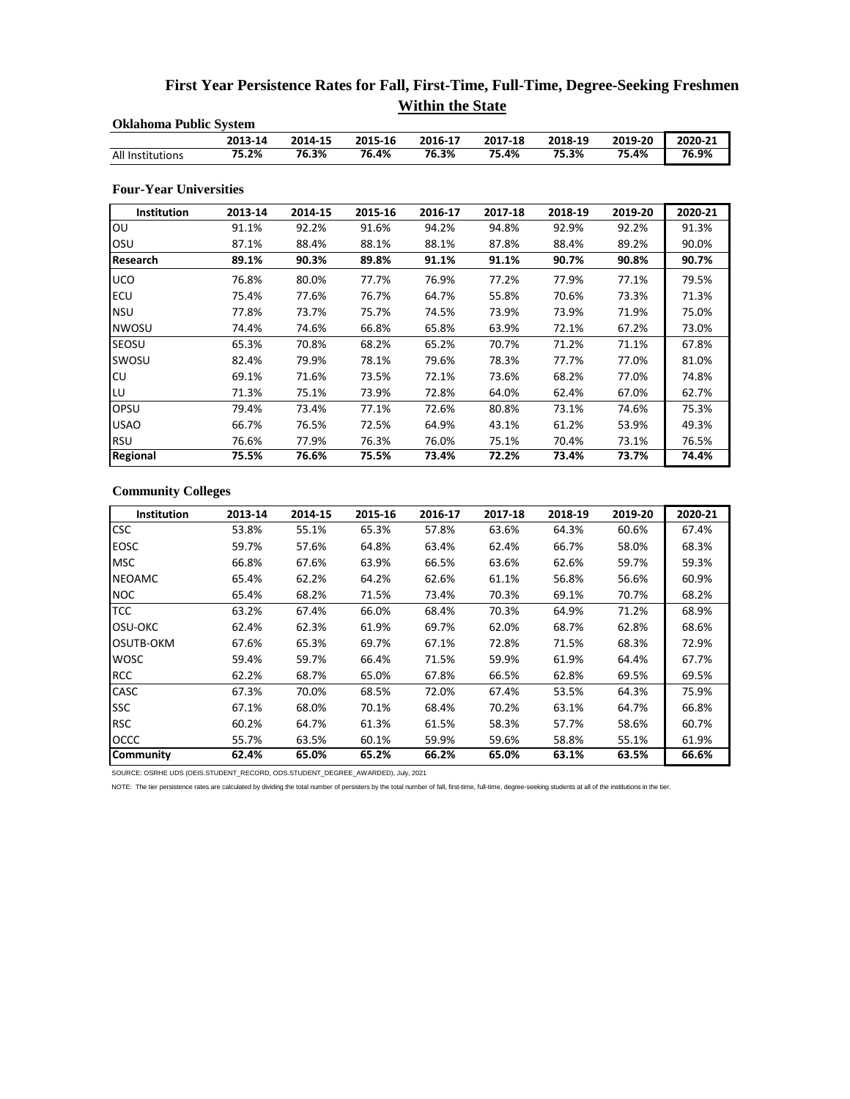## **First Year Persistence Rates for Fall, First-Time, Full-Time, Degree-Seeking Freshmen Within the State**

| <b>Oklahoma Public System</b> |         |         |         |         |         |         |         |         |  |  |  |
|-------------------------------|---------|---------|---------|---------|---------|---------|---------|---------|--|--|--|
|                               | 2013-14 | 2014-15 | 2015-16 | 2016-17 | 2017-18 | 2018-19 | 2019-20 | 2020-21 |  |  |  |
| All Institutions              | 75.2%   | 76.3%   | 76.4%   | 76.3%   | 75.4%   | 75.3%   | 75.4%   | 76.9%   |  |  |  |
| <b>Four-Year Universities</b> |         |         |         |         |         |         |         |         |  |  |  |
| Institution                   | 2013-14 | 2014-15 | 2015-16 | 2016-17 | 2017-18 | 2018-19 | 2019-20 | 2020-21 |  |  |  |
| OU                            | 91.1%   | 92.2%   | 91.6%   | 94.2%   | 94.8%   | 92.9%   | 92.2%   | 91.3%   |  |  |  |
| OSU                           | 87.1%   | 88.4%   | 88.1%   | 88.1%   | 87.8%   | 88.4%   | 89.2%   | 90.0%   |  |  |  |
| Research                      | 89.1%   | 90.3%   | 89.8%   | 91.1%   | 91.1%   | 90.7%   | 90.8%   | 90.7%   |  |  |  |
| <b>UCO</b>                    | 76.8%   | 80.0%   | 77.7%   | 76.9%   | 77.2%   | 77.9%   | 77.1%   | 79.5%   |  |  |  |
| <b>ECU</b>                    | 75.4%   | 77.6%   | 76.7%   | 64.7%   | 55.8%   | 70.6%   | 73.3%   | 71.3%   |  |  |  |
| <b>NSU</b>                    | 77.8%   | 73.7%   | 75.7%   | 74.5%   | 73.9%   | 73.9%   | 71.9%   | 75.0%   |  |  |  |
| <b>NWOSU</b>                  | 74.4%   | 74.6%   | 66.8%   | 65.8%   | 63.9%   | 72.1%   | 67.2%   | 73.0%   |  |  |  |
| <b>SEOSU</b>                  | 65.3%   | 70.8%   | 68.2%   | 65.2%   | 70.7%   | 71.2%   | 71.1%   | 67.8%   |  |  |  |
| SWOSU                         | 82.4%   | 79.9%   | 78.1%   | 79.6%   | 78.3%   | 77.7%   | 77.0%   | 81.0%   |  |  |  |
| CU                            | 69.1%   | 71.6%   | 73.5%   | 72.1%   | 73.6%   | 68.2%   | 77.0%   | 74.8%   |  |  |  |
| LU                            | 71.3%   | 75.1%   | 73.9%   | 72.8%   | 64.0%   | 62.4%   | 67.0%   | 62.7%   |  |  |  |
| OPSU                          | 79.4%   | 73.4%   | 77.1%   | 72.6%   | 80.8%   | 73.1%   | 74.6%   | 75.3%   |  |  |  |
| <b>USAO</b>                   | 66.7%   | 76.5%   | 72.5%   | 64.9%   | 43.1%   | 61.2%   | 53.9%   | 49.3%   |  |  |  |
| <b>RSU</b>                    | 76.6%   | 77.9%   | 76.3%   | 76.0%   | 75.1%   | 70.4%   | 73.1%   | 76.5%   |  |  |  |
| Regional                      | 75.5%   | 76.6%   | 75.5%   | 73.4%   | 72.2%   | 73.4%   | 73.7%   | 74.4%   |  |  |  |

## **Community Colleges**

| <b>Institution</b> | 2013-14 | 2014-15 | 2015-16 | 2016-17 | 2017-18 | 2018-19 | 2019-20 | 2020-21 |
|--------------------|---------|---------|---------|---------|---------|---------|---------|---------|
| <b>CSC</b>         | 53.8%   | 55.1%   | 65.3%   | 57.8%   | 63.6%   | 64.3%   | 60.6%   | 67.4%   |
| <b>EOSC</b>        | 59.7%   | 57.6%   | 64.8%   | 63.4%   | 62.4%   | 66.7%   | 58.0%   | 68.3%   |
| <b>MSC</b>         | 66.8%   | 67.6%   | 63.9%   | 66.5%   | 63.6%   | 62.6%   | 59.7%   | 59.3%   |
| <b>NEOAMC</b>      | 65.4%   | 62.2%   | 64.2%   | 62.6%   | 61.1%   | 56.8%   | 56.6%   | 60.9%   |
| <b>NOC</b>         | 65.4%   | 68.2%   | 71.5%   | 73.4%   | 70.3%   | 69.1%   | 70.7%   | 68.2%   |
| <b>TCC</b>         | 63.2%   | 67.4%   | 66.0%   | 68.4%   | 70.3%   | 64.9%   | 71.2%   | 68.9%   |
| OSU-OKC            | 62.4%   | 62.3%   | 61.9%   | 69.7%   | 62.0%   | 68.7%   | 62.8%   | 68.6%   |
| <b>OSUTB-OKM</b>   | 67.6%   | 65.3%   | 69.7%   | 67.1%   | 72.8%   | 71.5%   | 68.3%   | 72.9%   |
| <b>WOSC</b>        | 59.4%   | 59.7%   | 66.4%   | 71.5%   | 59.9%   | 61.9%   | 64.4%   | 67.7%   |
| <b>RCC</b>         | 62.2%   | 68.7%   | 65.0%   | 67.8%   | 66.5%   | 62.8%   | 69.5%   | 69.5%   |
| <b>CASC</b>        | 67.3%   | 70.0%   | 68.5%   | 72.0%   | 67.4%   | 53.5%   | 64.3%   | 75.9%   |
| <b>SSC</b>         | 67.1%   | 68.0%   | 70.1%   | 68.4%   | 70.2%   | 63.1%   | 64.7%   | 66.8%   |
| <b>RSC</b>         | 60.2%   | 64.7%   | 61.3%   | 61.5%   | 58.3%   | 57.7%   | 58.6%   | 60.7%   |
| <b>OCCC</b>        | 55.7%   | 63.5%   | 60.1%   | 59.9%   | 59.6%   | 58.8%   | 55.1%   | 61.9%   |
| Community          | 62.4%   | 65.0%   | 65.2%   | 66.2%   | 65.0%   | 63.1%   | 63.5%   | 66.6%   |

SOURCE: OSRHE UDS (OEIS.STUDENT\_RECORD, ODS.STUDENT\_DEGREE\_AWARDED), July, 2021

NOTE: The tier persistence rates are calculated by dividing the total number of persisters by the total number of fall, first-time, full-time, degree-seeking students at all of the institutions in the tier.